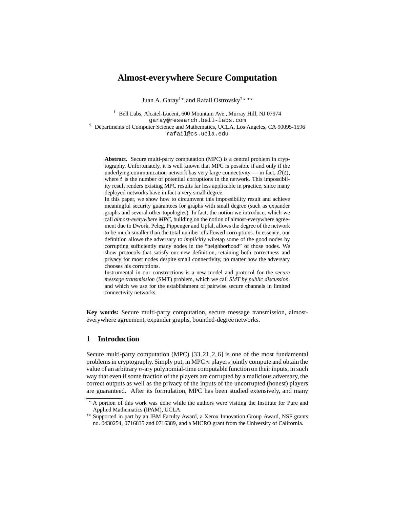# **Almost-everywhere Secure Computation**

Juan A. Garay $^{1\star}$  and Rafail Ostrovsky $^{2\star}$   $^{**}$ 

<sup>1</sup> Bell Labs, Alcatel-Lucent, 600 Mountain Ave., Murray Hill, NJ 07974 <sup>2</sup> Departments of Computer Science and Mathematics, UCLA, Los Angeles, CA 90095-1596 garay@research.bell-labs.com rafail@cs.ucla.edu

**Abstract.** Secure multi-party computation (MPC) is a central problem in cryptography. Unfortunately, it is well known that MPC is possible if and only if the underlying communication network has very large connectivity — in fact,  $\Omega(t)$ , where  $t$  is the number of potential corruptions in the network. This impossibility result renders existing MPC results far less applicable in practice, since many deployed networks have in fact a very small degree.

In this paper, we show how to circumvent this impossibility result and achieve meaningful security guarantees for graphs with small degree (such as expander graphs and several other topologies). In fact, the notion we introduce, which we call *almost-everywhere MPC*, building on the notion of almost-everywhere agreement due to Dwork, Peleg, Pippenger and Upfal, allows the degree of the network to be much smaller than the total number of allowed corruptions. In essence, our definition allows the adversary to *implicitly* wiretap some of the good nodes by corrupting sufficiently many nodes in the "neighborhood" of those nodes. We show protocols that satisfy our new definition, retaining both correctness and privacy for most nodes despite small connectivity, no matter how the adversary chooses his corruptions.

Instrumental in our constructions is a new model and protocol for the *secure message transmission* (SMT) problem, which we call *SMT by public discussion*, and which we use for the establishment of pairwise secure channels in limited connectivity networks.

**Key words:** Secure multi-party computation, secure message transmission, almosteverywhere agreement, expander graphs, bounded-degree networks.

## **1 Introduction**

Secure multi-party computation (MPC) [33, 21, 2, 6] is one of the most fundamental problems in cryptography. Simply put, in MPC  $n$  players jointly compute and obtain the value of an arbitrary  $n$ -ary polynomial-time computable function on their inputs, in such way that even if some fraction of the players are corrupted by a malicious adversary, the correct outputs as well as the privacy of the inputs of the uncorrupted (honest) players are guaranteed. After its formulation, MPC has been studied extensively, and many

A portion of this work was done while the authors were visiting the Institute for Pure and Applied Mathematics (IPAM), UCLA.

<sup>\*\*</sup> Supported in part by an IBM Faculty Award, a Xerox Innovation Group Award, NSF grants no. 0430254, 0716835 and 0716389, and a MICRO grant from the University of California.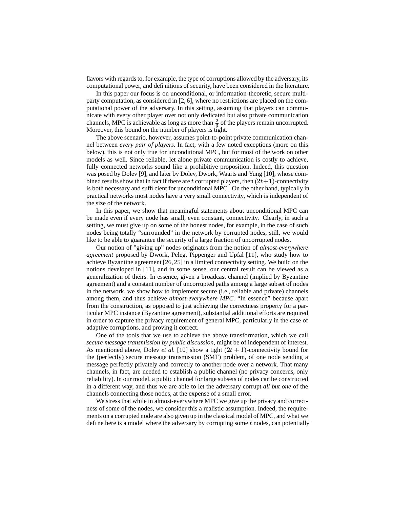flavors with regards to, for example, the type of corruptions allowed by the adversary, its computational power, and definitions of security, have been considered in the literature.

In this paper our focus is on unconditional, or information-theoretic, secure multiparty computation, as considered in [2, 6], where no restrictions are placed on the computational power of the adversary. In this setting, assuming that players can communicate with every other player over not only dedicated but also private communication channels, MPC is achievable as long as more than  $\frac{2}{3}$  of the players remain uncorrupted. Moreover, this bound on the number of players is tight.

The above scenario, however, assumes point-to-point private communication channel between *every pair of players*. In fact, with a few noted exceptions (more on this below), this is not only true for unconditional MPC, but for most of the work on other models as well. Since reliable, let alone private communication is costly to achieve, fully connected networks sound like a prohibitive proposition. Indeed, this question was posed by Dolev [9], and later by Dolev, Dwork, Waarts and Yung [10], whose combined results show that in fact if there are t corrupted players, then  $(2t+1)$ -connectivity is both necessary and sufficient for unconditional MPC. On the other hand, typically in practical networks most nodes have a very small connectivity, which is independent of the size of the network.

In this paper, we show that meaningful statements about unconditional MPC can be made even if every node has small, even constant, connectivity. Clearly, in such a setting, we must give up on some of the honest nodes, for example, in the case of such nodes being totally "surrounded" in the network by corrupted nodes; still, we would like to be able to guarantee the security of a large fraction of uncorrupted nodes.

Our notion of "giving up" nodes originates from the notion of *almost-everywhere agreement* proposed by Dwork, Peleg, Pippenger and Upfal [11], who study how to achieve Byzantine agreement [26, 25] in a limited connectivity setting. We build on the notions developed in [11], and in some sense, our central result can be viewed as a generalization of theirs. In essence, given a broadcast channel (implied by Byzantine agreement) and a constant number of uncorrupted paths among a large subset of nodes in the network, we show how to implement secure (i.e., reliable and private) channels among them, and thus achieve *almost-everywhere MPC*. "In essence" because apart from the construction, as opposed to just achieving the correctness property for a particular MPC instance (Byzantine agreement), substantial additional efforts are required in order to capture the privacy requirement of general MPC, particularly in the case of adaptive corruptions, and proving it correct.

One of the tools that we use to achieve the above transformation, which we call *secure message transmission by public discussion*, might be of independent of interest. As mentioned above, Dolev *et al.* [10] show a tight  $(2t + 1)$ -connectivity bound for the (perfectly) secure message transmission (SMT) problem, of one node sending a message perfectly privately and correctly to another node over a network. That many channels, in fact, are needed to establish a public channel (no privacy concerns, only reliability). In our model, a public channel for large subsets of nodes can be constructed in a different way, and thus we are able to let the adversary corrupt *all but one* of the channels connecting those nodes, at the expense of a small error.

We stress that while in almost-everywhere MPC we give up the privacy and correctness of some of the nodes, we consider this a realistic assumption. Indeed, the requirements on a corrupted node are also given up in the classical model of MPC, and what we define here is a model where the adversary by corrupting some  $t$  nodes, can potentially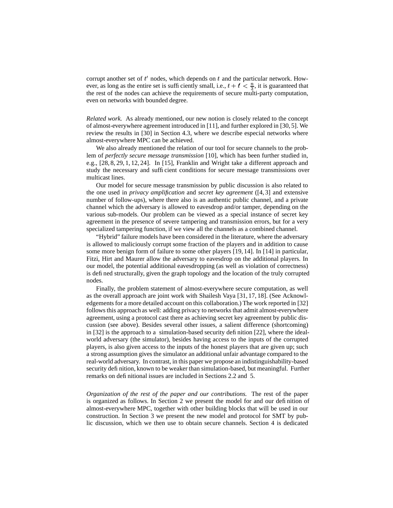corrupt another set of  $t'$  nodes, which depends on  $t$  and the particular network. However, as long as the entire set is sufficiently small, i.e.,  $t + t < \frac{n}{3}$ , it is guaranteed that the rest of the nodes can achieve the requirements of secure multi-party computation, even on networks with bounded degree.

*Related work.* As already mentioned, our new notion is closely related to the concept of almost-everywhere agreement introduced in [11], and further explored in [30, 5]. We review the results in [30] in Section 4.3, where we describe especial networks where almost-everywhere MPC can be achieved.

We also already mentioned the relation of our tool for secure channels to the problem of *perfectly secure message transmission* [10], which has been further studied in, e.g., [28, 8, 29, 1, 12, 24]. In [15], Franklin and Wright take a different approach and study the necessary and sufficient conditions for secure message transmissions over multicast lines.

Our model for secure message transmission by public discussion is also related to the one used in *privacy amplification* and *secret key agreement* ([4, 3] and extensive number of follow-ups), where there also is an authentic public channel, and a private channel which the adversary is allowed to eavesdrop and/or tamper, depending on the various sub-models. Our problem can be viewed as a special instance of secret key agreement in the presence of severe tampering and transmission errors, but for a very specialized tampering function, if we view all the channels as a combined channel.

"Hybrid" failure models have been considered in the literature, where the adversary is allowed to maliciously corrupt some fraction of the players and in addition to cause some more benign form of failure to some other players [19, 14]. In [14] in particular, Fitzi, Hirt and Maurer allow the adversary to eavesdrop on the additional players. In our model, the potential additional eavesdropping (as well as violation of correctness) is defined structurally, given the graph topology and the location of the truly corrupted nodes.

Finally, the problem statement of almost-everywhere secure computation, as well as the overall approach are joint work with Shailesh Vaya [31, 17, 18]. (See Acknowledgements for a more detailed account on this collaboration.) The work reported in [32] follows this approach as well: adding privacy to networks that admit almost-everywhere agreement, using a protocol cast there as achieving secret key agreement by public discussion (see above). Besides several other issues, a salient difference (shortcoming) in [32] is the approach to a simulation-based security definition [22], where the idealworld adversary (the simulator), besides having access to the inputs of the corrupted players, is also given access to the inputs of the honest players that are given up; such a strong assumption gives the simulator an additional unfair advantage compared to the real-world adversary. In contrast, in this paper we propose an indistinguishability-based security definition, known to be weaker than simulation-based, but meaningful. Further remarks on definitional issues are included in Sections 2.2 and 5.

*Organization of the rest of the paper and our contributions.* The rest of the paper is organized as follows. In Section 2 we present the model for and our definition of almost-everywhere MPC, together with other building blocks that will be used in our construction. In Section 3 we present the new model and protocol for SMT by public discussion, which we then use to obtain secure channels. Section 4 is dedicated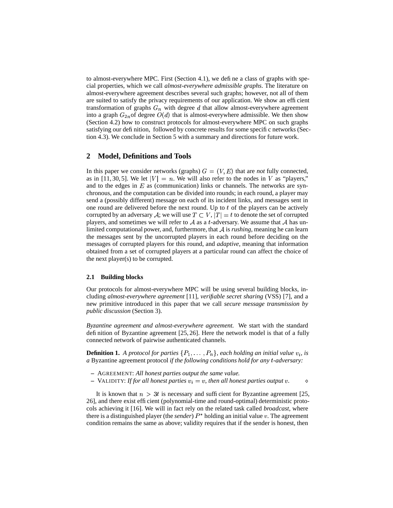to almost-everywhere MPC. First (Section 4.1), we define a class of graphs with special properties, which we call *almost-everywhere admissible graphs*. The literature on almost-everywhere agreement describes several such graphs; however, not all of them are suited to satisfy the privacy requirements of our application. We show an efficient transformation of graphs  $G_n$  with degree d that allow almost-everywhere agreement into a graph  $G_{2n}$  of degree  $O(d)$  that is almost-everywhere admissible. We then show (Section 4.2) how to construct protocols for almost-everywhere MPC on such graphs satisfying our definition, followed by concrete results for some specific networks (Section 4.3). We conclude in Section 5 with a summary and directions for future work.

## **2 Model, Definitions and Tools**

In this paper we consider networks (graphs)  $G = (V, E)$  that are *not* fully connected, as in [11, 30, 5]. We let  $|V| = n$ . We will also refer to the nodes in V as "players," and to the edges in  $E$  as (communication) links or channels. The networks are synchronous, and the computation can be divided into rounds; in each round, a player may send a (possibly different) message on each of its incident links, and messages sent in one round are delivered before the next round. Up to  $t$  of the players can be actively corrupted by an adversary  $\mathcal{A}$ ; we will use  $T\subset V, |T|=t$  to denote the set of corrupted players, and sometimes we will refer to  $A$  as a t-adversary. We assume that  $A$  has unlimited computational power, and, furthermore, that  $A$  is *rushing*, meaning he can learn the messages sent by the uncorrupted players in each round before deciding on the messages of corrupted players for this round, and *adaptive*, meaning that information obtained from a set of corrupted players at a particular round can affect the choice of the next player(s) to be corrupted.

#### **2.1 Building blocks**

Our protocols for almost-everywhere MPC will be using several building blocks, including *almost-everywhere agreement* [11], *verifiable secret sharing* (VSS) [7], and a new primitive introduced in this paper that we call *secure message transmission by public discussion* (Section 3).

*Byzantine agreement and almost-everywhere agreement.* We start with the standard definition of Byzantine agreement [25, 26]. Here the network model is that of a fully connected network of pairwise authenticated channels.

**Definition 1.** A protocol for parties  $\{P_1, \ldots, P_n\}$ , each holding an initial value  $v_i$ , is *a* Byzantine agreement protocol *if the following conditions hold for any -adversary:*

- **–** AGREEMENT: *All honest parties output the same value.*
- $\rightarrow$  VALIDITY: *If for all honest parties*  $v_i = v$ , *then all honest parties output*  $v$ .  $\rightarrow$

It is known that  $n > 3t$  is necessary and sufficient for Byzantine agreement [25, 26], and there exist efficient (polynomial-time and round-optimal) deterministic protocols achieving it [16]. We will in fact rely on the related task called *broadcast*, where there is a distinguished player (the *sender*)  $P^*$  holding an initial value  $v$ . The agreement condition remains the same as above; validity requires that if the sender is honest, then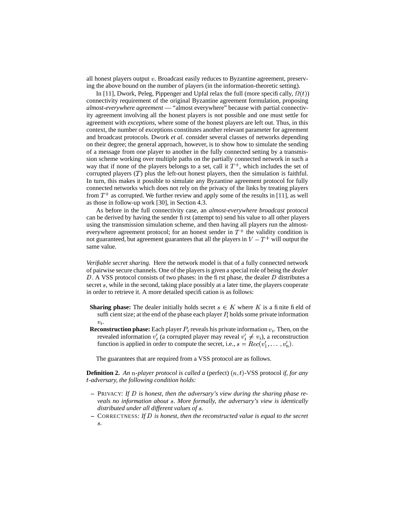all honest players output  $v$ . Broadcast easily reduces to Byzantine agreement, preserving the above bound on the number of players (in the information-theoretic setting).

In [11], Dwork, Peleg, Pippenger and Upfal relax the full (more specifically,  $\Omega(t)$ ) connectivity requirement of the original Byzantine agreement formulation, proposing *almost-everywhere agreement* — "almost everywhere" because with partial connectivity agreement involving all the honest players is not possible and one must settle for agreement with *exceptions*, where some of the honest players are left out. Thus, in this context, the number of exceptions constitutes another relevant parameter for agreement and broadcast protocols. Dwork *et al.* consider several classes of networks depending on their degree; the general approach, however, is to show how to simulate the sending of a message from one player to another in the fully connected setting by a transmission scheme working over multiple paths on the partially connected network in such a way that if none of the players belongs to a set, call it  $T^+$ , which includes the set of corrupted players  $(T)$  plus the left-out honest players, then the simulation is faithful. In turn, this makes it possible to simulate any Byzantine agreement protocol for fully connected networks which does not rely on the privacy of the links by treating players from  $T^+$  as corrupted. We further review and apply some of the results in [11], as well as those in follow-up work [30], in Section 4.3.

As before in the full connectivity case, an *almost-everywhere broadcast* protocol can be derived by having the sender first (attempt to) send his value to all other players using the transmission simulation scheme, and then having all players run the almosteverywhere agreement protocol; for an honest sender in  $T^+$  the validity condition is not guaranteed, but agreement guarantees that all the players in  $V - T^+$  will output the same value.

*Verifiable secret sharing.* Here the network model is that of a fully connected network of pairwise secure channels. One of the playersis given a special role of being the *dealer*  $D$ . A VSS protocol consists of two phases: in the first phase, the dealer  $D$  distributes a secret  $s$ , while in the second, taking place possibly at a later time, the players cooperate in order to retrieve it. A more detailed specification is as follows:

- **Sharing phase:** The dealer initially holds secret  $s \in K$  where K is a finite field of sufficient size; at the end of the phase each player  $P_i$  holds some private information  $v_i$ .
- **Reconstruction phase:** Each player  $P_i$  reveals his private information  $v_i$ . Then, on the revealed information  $v_i'$  (a corrupted player may reveal  $v_i' \neq v_i$ ), a reconstruction function is applied in order to compute the secret, i.e.,  $s = Rec(v'_1, \ldots, v'_n)$ .

The guarantees that are required from a VSS protocol are as follows.

**Definition 2.** An *n*-player protocol is called a (perfect)  $(n, t)$ -VSS protocol if, for any *-adversary, the following condition holds:*

- **–** PRIVACY: *If is honest, then the adversary's view during the sharing phase reveals no information about . More formally, the adversary's view is identically distributed under all different values of .*
- **–** CORRECTNESS: *If is honest, then the reconstructed value is equal to the secret .*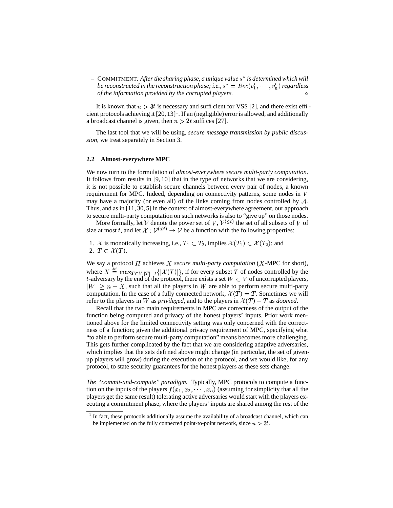**–** COMMITMENT*: After the sharing phase, a unique value* !\* *is determined which will be reconstructed in the reconstruction phase; i.e.,*  $s^* = Rec(v'_1, \cdots, v'_n)$  *regardless of the information provided by the corrupted players.* %

It is known that  $n > 3t$  is necessary and sufficient for VSS [2], and there exist efficient protocols achieving it [20, 13]<sup>1</sup>. If an (negligible) error is allowed, and additionally a broadcast channel is given, then  $n > 2t$  suffices [27].

The last tool that we will be using, *secure message transmission by public discussion*, we treat separately in Section 3.

#### **2.2 Almost-everywhere MPC**

We now turn to the formulation of *almost-everywhere secure multi-party computation*. It follows from results in [9, 10] that in the type of networks that we are considering, it is not possible to establish secure channels between every pair of nodes, a known requirement for MPC. Indeed, depending on connectivity patterns, some nodes in  $V$ may have a majority (or even all) of the links coming from nodes controlled by  $A$ . Thus, and as in [11, 30, 5] in the context of almost-everywhere agreement, our approach to secure multi-party computation on such networks is also to "give up" on those nodes.

More formally, let V denote the power set of V,  $\mathcal{V}^{(\leq t)}$  the set of all subsets of V of size at most t, and let  $\mathcal{X}: \mathcal{V}^{(\leq t)} \to \mathcal{V}$  be a function with the following properties:

1. X is monotically increasing, i.e.,  $T_1 \subset T_2$ , implies  $\mathcal{X}(T_1) \subset \mathcal{X}(T_2)$ ; and 2.  $T \subset \mathcal{X}(T)$ .

We say a protocol  $\Pi$  achieves  $X$  *secure multi-party computation* ( $X$ -MPC for short), where  $X \stackrel{\text{def}}{=} \max_{T \subset V, |T| = t} \{ |\mathcal{X}(T)| \}$ , if for every subset  $T$  of nodes controlled by the *t*-adversary by the end of the protocol, there exists a set  $W \subset V$  of uncorrupted players,  $|W| \ge n - X$ , such that all the players in W are able to perform secure multi-party computation. In the case of a fully connected network,  $\mathcal{X}(T) = T$ . Sometimes we will refer to the players in W as *privileged*, and to the players in  $\mathcal{X}(T) - T$  as *doomed*.

Recall that the two main requirements in MPC are correctness of the output of the function being computed and privacy of the honest players' inputs. Prior work mentioned above for the limited connectivity setting was only concerned with the correctness of a function; given the additional privacy requirement of MPC, specifying what "to able to perform secure multi-party computation" means becomes more challenging. This gets further complicated by the fact that we are considering adaptive adversaries, which implies that the sets defined above might change (in particular, the set of givenup players will grow) during the execution of the protocol, and we would like, for any protocol, to state security guarantees for the honest players as these sets change.

*The "commit-and-compute" paradigm.* Typically, MPC protocols to compute a function on the inputs of the players  $f(x_1, x_2, \dots, x_n)$  (assuming for simplicity that all the players get the same result) tolerating active adversaries would start with the players executing a commitment phase, where the players' inputs are shared among the rest of the

<sup>&</sup>lt;sup>1</sup> In fact, these protocols additionally assume the availability of a broadcast channel, which can be implemented on the fully connected point-to-point network, since  $n > 3t$ .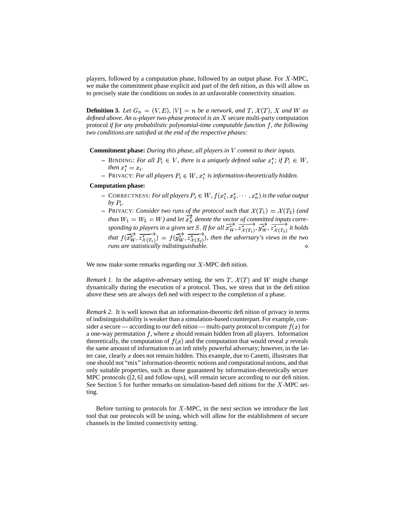players, followed by a computation phase, followed by an output phase. For  $X$ -MPC, we make the commitment phase explicit and part of the definition, as this will allow us to precisely state the conditions on nodes in an unfavorable connectivity situation.

**Definition 3.** Let  $G_n = (V, E), |V| = n$  be a network, and T,  $\mathcal{X}(T)$ , X and W as *defined above. An -player two-phase protocol is an* secure multi-party computation protocol *if for any probabilistic polynomial-time computable function* ,*, the following two conditions are satisfied at the end of the respective phases:*

**Commitment phase:** *During this phase, all players in commit to theirinputs.*

- $-$  BINDING: For all  $P_i \in V$ , there is a uniquely defined value  $x_i^*$ ; if  $P_i \in W$ , *then*  $x_i^* = x_i$ .
- $-$  PRIVACY: *For all players*  $P_i \in W$ ,  $x_i^*$  *is information-theoretically hidden.*

#### **Computation phase:**

- $-$  CORRECTNESS: *For all players*  $P_i \in W$ ,  $f(x_1^*, x_2^*, \cdots, x_n^*)$  *is the value output*  $by$   $P_i$ .
- *–* PRIVACY: Consider two runs of the protocol such that  $\mathcal{X}(T_1) = \mathcal{X}(T_2)$  (and *thus*  $W_1 = W_2 = W$  *and let*  $\overrightarrow{x_s}$  *denote the vector of committed inputs corre*sponding to players in a given set S. If for all  $\overrightarrow{x_{W}}$ ,  $\overrightarrow{z_{X(T_{v})}}$ ,  $\overrightarrow{y_{W}}$ ,  $\overrightarrow{z_{X(T_{v})}}$  it holds *that*  $f(\overrightarrow{x_{N}}', \overrightarrow{z_{N(T_{N})}}) = f(\overrightarrow{y_{N}}', \overrightarrow{z_{N(T_{N})}})$ , then the adversary's views in the two *runs are statistically indistinguishable.* %

We now make some remarks regarding our  $X$ -MPC definition.

*Remark 1.* In the adaptive-adversary setting, the sets T,  $\mathcal{X}(T)$  and W might change dynamically during the execution of a protocol. Thus, we stress that in the definition above these sets are always defined with respect to the completion of a phase.

*Remark 2.* It is well known that an information-theoretic definition of privacy in terms of indistinguishability is weaker than a simulation-based counterpart. For example, consider a secure — according to our definition — multi-party protocol to compute  $f(x)$  for a one-way permutation  $f$ , where  $x$  should remain hidden from all players. Information theoretically, the computation of  $f(x)$  and the computation that would reveal x reveals the same amount of information to an infinitely powerful adversary; however, in the latter case, clearly  $x$  does not remain hidden. This example, due to Canetti, illustrates that one should not "mix" information-theoretic notions and computational notions, and that only suitable properties, such as those guaranteed by information-theoretically secure MPC protocols ([2, 6] and follow-ups), will remain secure according to our definition. See Section 5 for further remarks on simulation-based definitions for the  $X$ -MPC setting.

Before turning to protocols for  $X$ -MPC, in the next section we introduce the last tool that our protocols will be using, which will allow for the establishment of secure channels in the limited connectivity setting.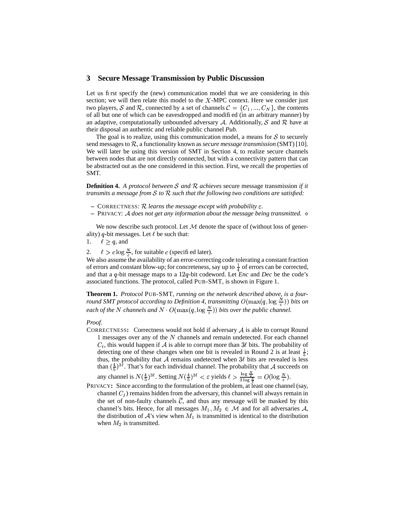## **3 Secure Message Transmission by Public Discussion**

Let us first specify the (new) communication model that we are considering in this section; we will then relate this model to the  $X-MPC$  context. Here we consider just two players, S and R, connected by a set of channels  $\mathcal{C} = \{C_1, ..., C_N\}$ , the contents of all but one of which can be eavesdropped and modified (in an arbitrary manner) by an adaptive, computationally unbounded adversary A. Additionally,  $S$  and  $R$  have at their disposal an authentic and reliable public channel *Pub*.

The goal is to realize, using this communication model, a means for  $S$  to securely send messages to  $\mathcal{R}$ , a functionality known as *secure message transmission* (SMT) [10]. We will later be using this version of SMT in Section 4, to realize secure channels between nodes that are not directly connected, but with a connectivity pattern that can be abstracted out as the one considered in this section. First, we recall the properties of SMT.

**Definition 4.** *A protocol between*  $S$  *and*  $R$  *achieves* secure message transmission *if it transmits a message from to such that the following two conditions are satisfied:*

- **–** CORRECTNESS: *learns the message except with probability .*
- **–** PRIVACY: *does not get anyinformation about the message being transmitted.* %

We now describe such protocol. Let  $M$  denote the space of (without loss of generality) q-bit messages. Let  $\ell$  be such that:

- 1.  $\ell \geq q$ , and
- 2.  $\ell > c \log \frac{N}{\epsilon}$ , for suitable c (specified later).

We also assume the availability of an error-correcting code tolerating a constant fraction of errors and constant blow-up; for concreteness, say up to  $\frac{1}{4}$  of errors can be corrected, and that a q-bit message maps to a 12q-bit codeword. Let *Enc* and *Dec* be the code's associated functions. The protocol, called PUB-SMT, is shown in Figure 1.

**Theorem 1.** *Protocol* PUB-SMT*, running on the network described above, is a fourround* SMT protocol according to Definition 4, transmitting  $O(\max(q, \log \frac{N}{\epsilon}))$  bits on *each of the* N *channels* and  $N \cdot O(\max(q, \log \frac{N}{\epsilon}))$  bits over the public channel.

#### *Proof.*

CORRECTNESS: Correctness would not hold if adversary  $A$  is able to corrupt Round 1 messages over any of the  $N$  channels and remain undetected. For each channel  $C_i$ , this would happen if A is able to corrupt more than  $3\ell$  bits. The probability of detecting one of these changes when one bit is revealed in Round 2 is at least  $\frac{1}{5}$ ; thus, the probability that A remains undetected when  $3\ell$  bits are revealed is less than  $(\frac{4}{5})^{3\ell}$ . That's for each individual channel. The probability that A succeeds on

any channel is  $N(\frac{4}{5})^{3\ell}$ . Setting  $N(\frac{4}{5})^{3\ell} < \varepsilon$  yields  $\ell > \frac{\log \frac{N}{\varepsilon}}{\log \frac{5}{\varepsilon}} = O(\log \frac{N}{\varepsilon})$ . PRIVACY: Since according to the formulation of the problem, at least one channel (say,

channel  $C_j$ ) remains hidden from the adversary, this channel will always remain in the set of non-faulty channels  $C$ , and thus any message will be masked by this channel's bits. Hence, for all messages  $M_1, M_2 \in \mathcal{M}$  and for all adversaries A, the distribution of  $A$ 's view when  $M_1$  is transmitted is identical to the distribution when  $M_2$  is transmitted.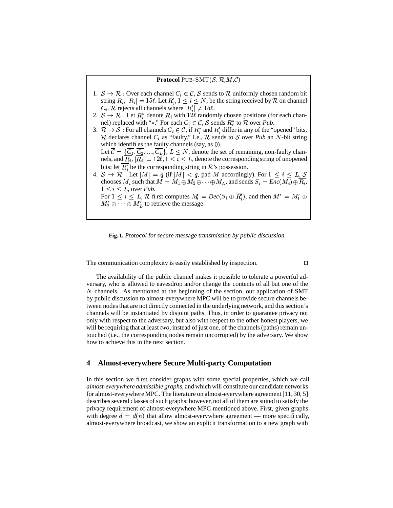#### ${\bf Protocol}$   ${\rm PUB\text{-}SMT}(\mathcal{S},{\cal R},M,{\cal C})$

- 1.  $S \to \mathcal{R}$  : Over each channel  $C_i \in \mathcal{C}, S$  sends to  $\mathcal{R}$  uniformly chosen random bit string  $R_i$ ,  $|R_i| = 15\ell$ . Let  $R'_i$ ,  $1 \leq i \leq N$ , be the string received by  $\mathcal R$  on channel  $C_i$ . R rejects all channels where  $|R'_i| \neq 15\ell$ .
- 2.  $S \to \mathcal{R}$  : Let  $R_i^*$  denote  $R_i$  with 12l randomly chosen positions (for each channel) replaced with "\*." For each  $C_i \in \mathcal{C}, \mathcal{S}$  sends  $R_i^*$  to  $\mathcal{R}$  over *Pub*.
- 3.  $\mathcal{R} \to \mathcal{S}$ : For all channels  $C_i \in \mathcal{C}$ , if  $R_i^*$  and  $R_i$  differ in any of the "opened" bits,  $R$  declares channel  $C_i$  as "faulty." I.e.,  $R$  sends to  $S$  over *Pub* an *N*-bit string which identifies the faulty channels (say, as 0). Let  $\overline{C} = \{\overline{C_1}, \overline{C_2}, ..., \overline{C_L}\}, L \le N$ , denote the set of remaining, non-faulty channels, and  $R_i$ ,  $|R_i| = 12\ell, 1 \leq i \leq L$ , denote the corresponding string of unopened bits; let  $R_i'$  be the corresponding string in  $\mathcal{R}$ 's possession.
- 4.  $S \to \mathcal{R}$ : Let  $|M| = q$  (if  $|M| < q$ , pad M accordingly). For  $1 \leq i \leq L$ ,  $S$ chooses  $M_i$  such that  $M = M_1 \oplus M_2 \oplus \cdots \oplus M_L$ , and sends  $S_i = Enc(M_i) \oplus \overline{R_i}$ ,  $1 \leq i \leq L$ , over *Pub*.

For  $1 \leq i \leq L$ ,  $\mathcal R$  fi rst computes  $M_i^t = Dec(S_i \oplus R_i^t)$ , and then  $M^t = M_1^t \oplus \emptyset$  $M'_2 \oplus \cdots \oplus M'_L$  to retrieve the message.

**Fig. 1.** Protocol for secure message transmission by public discussion.

The communication complexity is easily established by inspection.

The availability of the public channel makes it possible to tolerate a powerful adversary, who is allowed to eavesdrop and/or change the contents of all but one of the  $N$  channels. As mentioned at the beginning of the section, our application of SMT by public discussion to almost-everywhere MPC will be to provide secure channels between nodes that are not directly connected in the underlying network, and this section's channels will be instantiated by disjoint paths. Thus, in order to guarantee privacy not only with respect to the adversary, but also with respect to the other honest players, we will be requiring that at least *two*, instead of just one, of the channels (paths) remain untouched (i.e., the corresponding nodes remain uncorrupted) by the adversary. We show how to achieve this in the next section.

## **4 Almost-everywhere Secure Multi-party Computation**

In this section we first consider graphs with some special properties, which we call *almost-everywhere admissible graphs*, and which will constitute our candidate networks for almost-everywhere MPC. The literature on almost-everywhere agreement [11, 30, 5] describes several classes of such graphs; however, not all of them are suited to satisfy the privacy requirement of almost-everywhere MPC mentioned above. First, given graphs with degree  $d = d(n)$  that allow almost-everywhere agreement — more specifically, almost-everywhere broadcast, we show an explicit transformation to a new graph with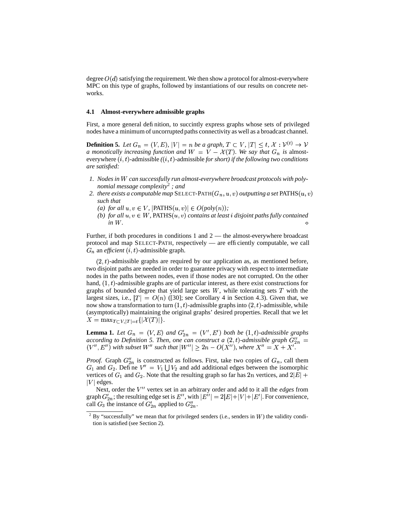degree  $O(d)$  satisfying the requirement. We then show a protocol for almost-everywhere MPC on this type of graphs, followed by instantiations of our results on concrete networks.

#### **4.1 Almost-everywhere admissible graphs**

First, a more general definition, to succintly express graphs whose sets of privileged nodes have a minimum of uncorrupted paths connectivity as well as a broadcast channel.

**Definition 5.** Let  $G_n = (V, E), |V| = n$  be a graph,  $T \subset V, |T| \leq t, \mathcal{X} : \mathcal{V}^{(t)} \to \mathcal{V}$ *a* monotically increasing function and  $W = V - \mathcal{X}(T)$ . We say that  $G_n$  is almosteverywhere  $(i, t)$ -admissible  $((i, t)$ -admissible *for short*) *if the following two conditions are satisfied:*

- *1. Nodes in* ( *can successfully run almost-everywhere broadcast protocols with polynomial message complexity*<sup>2</sup> *; and*
- *2. there exists a computable map* SELECT-PATH *outputting a set* PATHS --# *such that*

(a) for all  $u, v \in V$ ,  $|$ **PATHS** $(u, v)$  $| \in O$ (poly $(n)$ );

*(b) for all*  $u, v \in W$ , PATHS $(u, v)$  *contains at least i disjoint paths fully contained in*  $W$ .

Further, if both procedures in conditions 1 and 2 — the almost-everywhere broadcast protocol and map SELECT-PATH, respectively — are efficiently computable, we call  $G_n$  an *efficient*  $(i, t)$ -admissible graph.

 $(2, t)$ -admissible graphs are required by our application as, as mentioned before, two disjoint paths are needed in order to guarantee privacy with respect to intermediate nodes in the paths between nodes, even if those nodes are not corrupted. On the other hand,  $(1, t)$ -admissible graphs are of particular interest, as there exist constructions for graphs of bounded degree that yield large sets  $W$ , while tolerating sets  $T$  with the largest sizes, i.e.,  $|T| = O(n)$  ([30]; see Corollary 4 in Section 4.3). Given that, we now show a transformation to turn  $(1, t)$ -admissible graphs into  $(2, t)$ -admissible, while (asymptotically) maintaining the original graphs' desired properties. Recall that we let  $X = \max_{T \subset V, |T| = t} \{ |\mathcal{X}(T)| \}.$ 

**Lemma 1.** Let  $G_n = (V, E)$  and  $G'_{2n} = (V', E')$  both be  $(1, t)$ -admissible graphs *according* to Definition 5. Then, one can construct a  $(2,t)$ -admissible graph  $G_{2n}^{\prime\prime}$  =  $(V'', E'')$  with subset  $W''$  such that  $|W''| \geq 2n - O(X'')$ , where  $X'' = X + X'$ .

*Proof.* Graph  $G_{2n}^{\prime\prime}$  is constructed as follows. First, take two copies of  $G_n$ , call them  $G_1$  and  $G_2$ . Define  $V'' = V_1 \bigcup V_2$  and add additional edges between the isomorphic vertices of  $G_1$  and  $G_2$ . Note that the resulting graph so far has 2n vertices, and  $2|E| +$  $|V|$  edges.

Next, order the  $V''$  vertex set in an arbitrary order and add to it all the *edges* from graph  $G'_{2n}$ ; the resulting edge set is  $E''$ , with  $|E''|=2|E|+|V|+|E'|$ . For convenience, call  $G_3$  the instance of  $G'_{2n}$  applied to  $G''_{2n}$ .

<sup>&</sup>lt;sup>2</sup> By "successfully" we mean that for privileged senders (i.e., senders in W) the validity condition is satisfied (see Section 2).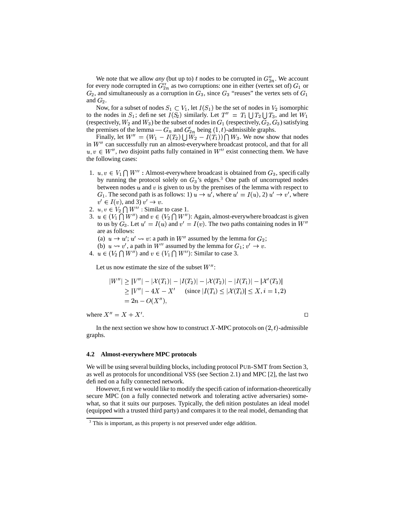We note that we allow *any* (but up to) t nodes to be corrupted in  $G_{2n}^{\prime\prime}$ . We account for every node corrupted in  $G_{2n}''$  as two corruptions: one in either (vertex set of)  $G_1$  or  $G_2$ , and simultaneously as a corruption in  $G_3$ , since  $G_3$  "reuses" the vertex sets of  $G_1$ and  $G_2$ .

Now, for a subset of nodes  $S_1 \subset V_1$ , let  $I(S_1)$  be the set of nodes in  $V_2$  isomorphic to the nodes in  $S_1$ ; define set  $I(S_2)$  similarly. Let  $T'' = T_1 \bigcup T_2 \bigcup T_3$ , and let  $W_1$ (respectively,  $W_2$  and  $W_3$ ) be the subset of nodes in  $G_1$  (respectively,  $G_2$ ,  $G_3$ ) satisfying the premises of the lemma —  $G_n$  and  $G'_{2n}$  being  $(1, t)$ -admissible graphs.

Finally, let  $W'' = (W_1 - I(T_2) \bigcup W_2 - I(T_1)) \bigcap W_3$ . We now show that nodes in  $W''$  can successfully run an almost-everywhere broadcast protocol, and that for all  $u, v \in W''$ , two disjoint paths fully contained in  $W''$  exist connecting them. We have the following cases:

- 1.  $u, v \in V_1 \cap W''$ : Almost-everywhere broadcast is obtained from  $G_3$ , specifically by running the protocol solely on  $G_3$ 's edges.<sup>3</sup> One path of uncorrupted nodes between nodes  $u$  and  $v$  is given to us by the premises of the lemma with respect to  $G_1$ . The second path is as follows: 1)  $u \to u'$ , where  $u' = I(u)$ , 2)  $u' \to v'$ , where  $v' \in I(v)$ , and 3)  $v' \rightarrow v$ .
- 2.  $u, v \in V_2 \cap W''$  : Similar to case 1.
- 3.  $u \in (V_1 \cap W'')$  and  $v \in (V_2 \cap W'')$ : Again, almost-everywhere broadcast is given to us by  $G_3$ . Let  $u' = I(u)$  and  $v' = I(v)$ . The two paths containing nodes in  $W''$ are as follows:

(a)  $u \to u'$ ;  $u' \rightsquigarrow v$ : a path in  $W''$  assumed by the lemma for  $G_2$ ;

- (b)  $u \rightsquigarrow v'$ , a path in  $W''$  assumed by the lemma for  $G_1$ ;  $v' \rightarrow v$ .
- 4.  $u \in (V_2 \cap W'')$  and  $v \in (V_1 \cap W'')$ : Similar to case 3.

Let us now estimate the size of the subset  $W''$ :

$$
|W''| \ge |V''| - |\mathcal{X}(T_1)| - |I(T_2)| - |\mathcal{X}(T_2)| - |I(T_1)| - |\mathcal{X}'(T_3)|
$$
  
\n
$$
\ge |V''| - 4X - X' \quad \text{(since } |I(T_i) \le |\mathcal{X}(T_i)| \le X, i = 1, 2)
$$
  
\n
$$
= 2n - O(X''),
$$

where  $X'' = X + X'$ . . The contract of the contract of the contract of the contract of the contract of the contract of the contract of

In the next section we show how to construct X-MPC protocols on  $(2, t)$ -admissible graphs.

#### **4.2 Almost-everywhere MPC protocols**

We will be using several building blocks, including protocol PUB-SMT from Section 3, as well as protocols for unconditional VSS (see Section 2.1) and MPC [2], the last two defined on a fully connected network.

However, first we would like to modify the specification of information-theoretically secure MPC (on a fully connected network and tolerating active adversaries) somewhat, so that it suits our purposes. Typically, the definition postulates an ideal model (equipped with a trusted third party) and compares it to the real model, demanding that

<sup>&</sup>lt;sup>3</sup> This is important, as this property is not preserved under edge addition.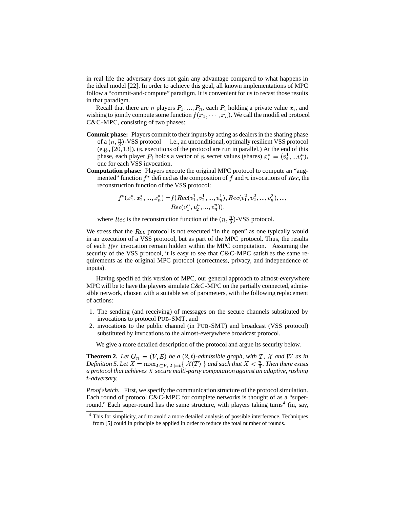in real life the adversary does not gain any advantage compared to what happens in the ideal model [22]. In order to achieve this goal, all known implementations of MPC follow a "commit-and-compute" paradigm. It is convenient for us to recast those results in that paradigm.

Recall that there are *n* players  $P_1, ..., P_n$ , each  $P_i$  holding a private value  $x_i$ , and wishing to jointly compute some function  $f(x_1, \dots, x_n)$ . We call the modified protocol C&C-MPC, consisting of two phases:

- **Commit phase:** Players commit to their inputs by acting as dealersin the sharing phase of a  $(n, \frac{n}{3})$ -VSS protocol — i.e., an unconditional, optimally resilient VSS protocol (e.g.,  $[20, 13]$ ). (*n* executions of the protocol are run in parallel.) At the end of this phase, each player  $P_i$  holds a vector of n secret values (shares)  $x_i^* = (v_i^1, ... v_i^n)$ ,  $i, ..., v_i^n$ , one for each VSS invocation.
- **Computation phase:** Players execute the original MPC protocol to compute an "augmented" function  $f^*$  defined as the composition of f and  $n$  invocations of Rec, the reconstruction function of the VSS protocol:

$$
f^*(x_1^*, x_2^*, ..., x_n^*) = f(Rec(v_1^1, v_2^1, ..., v_n^1), Rec(v_1^2, v_2^2, ..., v_n^2), ...,
$$
  
Rec(v\_1^n, v\_2^n, ..., v\_n^n)),

where  $Rec$  is the reconstruction function of the  $(n, \frac{n}{3})$ -VSS protocol.

We stress that the  $Rec$  protocol is not executed "in the open" as one typically would in an execution of a VSS protocol, but as part of the MPC protocol. Thus, the results of each  $Rec$  invocation remain hidden within the MPC computation. Assuming the security of the VSS protocol, it is easy to see that C&C-MPC satisfies the same requirements as the original MPC protocol (correctness, privacy, and independence of inputs).

Having specified this version of MPC, our general approach to almost-everywhere MPC will be to have the players simulate  $C&C\text{-}MPC$  on the partially connected, admissible network, chosen with a suitable set of parameters, with the following replacement of actions:

- 1. The sending (and receiving) of messages on the secure channels substituted by invocations to protocol PUB-SMT, and
- 2. invocations to the public channel (in PUB-SMT) and broadcast (VSS protocol) substituted by invocations to the almost-everywhere broadcast protocol.

We give a more detailed description of the protocol and argue its security below.

**Theorem 2.** Let  $G_n = (V, E)$  be a  $(2, t)$ -admissible graph, with  $T$ ,  $\mathcal X$  and  $W$  as in Definition 5. Let  $X = \max_{T \subset V, |T| = t} \{|\mathcal{X}(T)|\}$  and such that  $X < \frac{n}{3}$ . Then there exists *a protocol that achieves secure multi-party computation against an adaptive,rushing -adversary.*

*Proof sketch.* First, we specify the communication structure of the protocol simulation. Each round of protocol  $C&C-MPC$  for complete networks is thought of as a "superround." Each super-round has the same structure, with players taking turns<sup>4</sup> (in, say,

<sup>&</sup>lt;sup>4</sup> This for simplicity, and to avoid a more detailed analysis of possible interference. Techniques from [5] could in principle be applied in order to reduce the total number of rounds.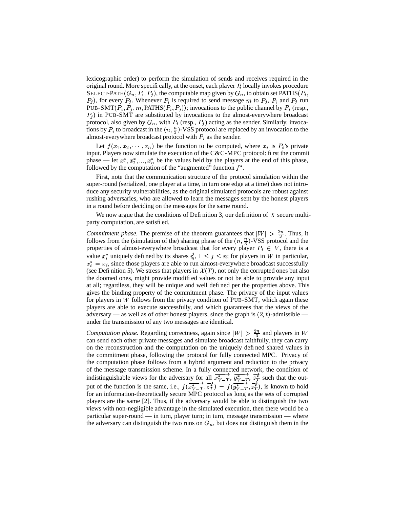lexicographic order) to perform the simulation of sends and receives required in the original round. More specifically, at the onset, each player  $P_i$  locally invokes procedure SELECT-PATH $(G_n, P_i, P_j)$ , the computable map given by  $G_n$ , to obtain set PATHS $(P_i, \ldots, P_j)$  $P_i$ ), for every  $P_i$ . Whenever  $P_i$  is required to send message m to  $P_j$ ,  $P_i$  and  $P_j$  run PUB-SMT $(P_i, P_j, m,$  PATHS $(P_i, P_j)$ ); invocations to the public channel by  $P_i$  (resp.,  $P_i$ ) in PUB-SMT are substituted by invocations to the almost-everywhere broadcast protocol, also given by  $G_n$ , with  $P_i$  (resp.,  $P_j$ ) acting as the sender. Similarly, invocations by  $P_i$  to broadcast in the  $(n, \frac{n}{3})$ -VSS protocol are replaced by an invocation to the almost-everywhere broadcast protocol with  $P_i$  as the sender.

Let  $f(x_1, x_2, \dots, x_n)$  be the function to be computed, where  $x_i$  is  $P_i$ 's private input. Players now simulate the execution of the C&C-MPC protocol: first the commit phase — let  $x_1^*, x_2^*, ..., x_n^*$  be the values held by the players at the end of this phase, followed by the computation of the "augmented" function  $f^*$ .

First, note that the communication structure of the protocol simulation within the super-round (serialized, one player at a time, in turn one edge at a time) does not introduce any security vulnerabilities, as the original simulated protocols are robust against rushing adversaries, who are allowed to learn the messages sent by the honest players in a round before deciding on the messages for the same round.

We now argue that the conditions of Definition 3, our definition of  $X$  secure multiparty computation, are satisfied.

*Commitment phase.* The premise of the theorem guarantees that  $|W| > \frac{2n}{3}$ . Thus, it *Commitment phase*. The premise of the theorem guarantees that  $|W| > \frac{2n}{3}$ . Thus, it follows from the (simulation of the) sharing phase of the  $(n, \frac{n}{3})$ -VSS protocol and the properties of almost-everywhere broadcast that for every player  $P_i \in V$ , there is a value  $x_i^*$  uniquely defined by its shares  $v_i^j$ ,  $1 \leq j \leq n$ ; for players in W in particular,  $x_i^* = x_i$ , since those players are able to run almost-everywhere broadcast successfully (see Definition 5). We stress that players in  $\mathcal{X}(T)$ , not only the corrupted ones but also the doomed ones, might provide modified values or not be able to provide any input at all; regardless, they will be unique and well defined per the properties above. This gives the binding property of the commitment phase. The privacy of the input values for players in  $W$  follows from the privacy condition of PUB-SMT, which again these players are able to execute successfully, and which guarantees that the views of the adversary — as well as of other honest players, since the graph is  $(2, t)$ -admissible under the transmission of any two messages are identical.

*Computation phase.* Regarding correctness, again since  $|W| > \frac{2n}{3}$  and players in W can send each other private messages and simulate broadcast faithfully, they can carry on the reconstruction and the computation on the uniquely defined shared values in the commitment phase, following the protocol for fully connected MPC. Privacy of the computation phase follows from a hybrid argument and reduction to the privacy of the message transmission scheme. In a fully connected network, the condition of indistinguishable views for the adversary for all  $\overrightarrow{x_{V-T}}$ ,  $\overrightarrow{y_{V-T}}$ ,  $\overrightarrow{z_T}$  such that the output of the function is the same, i.e.,  $f(\overrightarrow{x_{V-T}}', \overrightarrow{z_T}) = f(\overrightarrow{y_{V-T}}', \overrightarrow{z_T})$ , is known to hold for an information-theoretically secure MPC protocol as long as the sets of corrupted players are the same [2]. Thus, if the adversary would be able to distinguish the two views with non-negligible advantage in the simulated execution, then there would be a particular super-round — in turn, player turn; in turn, message transmission — where the adversary can distinguish the two runs on  $G_n$ , but does not distinguish them in the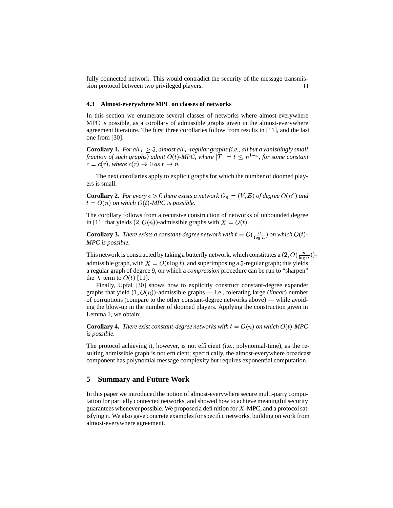fully connected network. This would contradict the security of the message transmission protocol between two privileged players.

#### **4.3 Almost-everywhere MPC on classes of networks**

In this section we enumerate several classes of networks where almost-everywhere MPC is possible, as a corollary of admissible graphs given in the almost-everywhere agreement literature. The first three corollaries follow from results in [11], and the last one from [30].

**Corollary 1.** For all  $r \geq 5$ , almost all r-regular graphs (i.e., all but a vanishingly small fraction of such graphs) admit  $O(t)$ -MPC, where  $|T| = t \leq n^{1-c}$ , for son - *, for some constant*  $c = c(r)$ , where  $c(r) \rightarrow 0$  as  $r \rightarrow n$ .

The next corollaries apply to explicit graphs for which the number of doomed players is small.

**Corollary 2.** For every  $\epsilon > 0$  there exists a network  $G_n = (V, E)$  of degree  $O(n^{\epsilon})$  and  $t = O(n)$  on which  $O(t)$ -MPC is possible.

The corollary follows from a recursive construction of networks of unbounded degree in [11] that yields  $(2, O(n))$ -admissible graphs with  $X = O(t)$ .

**Corollary 3.** There exists a constant-degree network with  $t = O(\frac{n}{\log n})$  on which  $O(t)$ -*MPC is possible.*

This network is constructed by taking a butterfly network, which constitutes a  $(2, O(\frac{n}{\log n}))$ admissible graph, with  $X = O(t \log t)$ , and superimposing a 5-regular graph; this yields a regular graph of degree 9, on which a *compression* procedure can be run to "sharpen" the X term to  $O(t)$  [11].

Finally, Upfal [30] shows how to explicitly construct constant-degree expander graphs that yield  $(1, O(n))$ -admissible graphs — i.e., tolerating large *(linear)* number of corruptions (compare to the other constant-degree networks above) — while avoiding the blow-up in the number of doomed players. Applying the construction given in Lemma 1, we obtain:

**Corollary 4.** There exist constant-degree networks with  $t = O(n)$  on which  $O(t)$ -MPC *is possible.*

The protocol achieving it, however, is not efficient (i.e., polynomial-time), as the resulting admissible graph is not efficient; specifically, the almost-everywhere broadcast component has polynomial message complexity but requires exponential computation.

## **5 Summary and Future Work**

In this paper we introduced the notion of almost-everywhere secure multi-party computation for partially connected networks, and showed how to achieve meaningfulsecurity guarantees whenever possible. We proposed a definition for  $X$ -MPC, and a protocol satisfying it. We also gave concrete examples for specific networks, building on work from almost-everywhere agreement.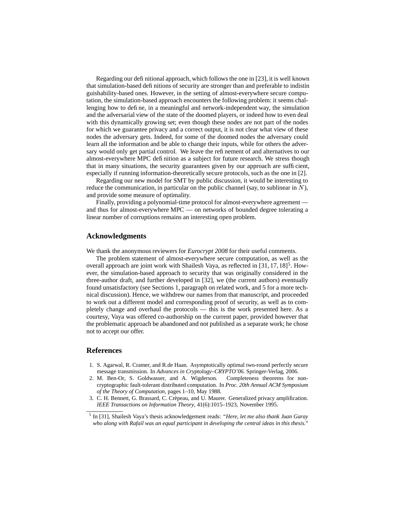Regarding our definitional approach, which follows the one in [23], it is well known that simulation-based definitions of security are stronger than and preferable to indistin guishability-based ones. However, in the setting of almost-everywhere secure computation, the simulation-based approach encounters the following problem: it seems challenging how to define, in a meaningful and network-independent way, the simulation and the adversarial view of the state of the doomed players, or indeed how to even deal with this dynamically growing set; even though these nodes are not part of the nodes for which we guarantee privacy and a correct output, it is not clear what view of these nodes the adversary gets. Indeed, for some of the doomed nodes the adversary could learn all the information and be able to change their inputs, while for others the adversary would only get partial control. We leave the refinement of and alternatives to our almost-everywhere MPC definition as a subject for future research. We stress though that in many situations, the security guarantees given by our approach are sufficient, especially if running information-theoretically secure protocols, such as the one in [2].

Regarding our new model for SMT by public discussion, it would be interesting to reduce the communication, in particular on the public channel (say, to sublinear in  $N$ ), and provide some measure of optimality.

Finally, providing a polynomial-time protocol for almost-everywhere agreement and thus for almost-everywhere MPC — on networks of bounded degree tolerating a linear number of corruptions remains an interesting open problem.

## **Acknowledgments**

We thank the anonymous reviewers for *Eurocrypt 2008* for their useful comments.

The problem statement of almost-everywhere secure computation, as well as the overall approach are joint work with Shailesh Vaya, as reflected in  $[31, 17, 18]$ <sup>5</sup>. However, the simulation-based approach to security that was originally considered in the three-author draft, and further developed in [32], we (the current authors) eventually found unsatisfactory (see Sections 1, paragraph on related work, and 5 for a more technical discussion). Hence, we withdrew our names from that manuscript, and proceeded to work out a different model and corresponding proof of security, as well as to completely change and overhaul the protocols — this is the work presented here. As a courtesy, Vaya was offered co-authorship on the current paper, provided however that the problematic approach be abandoned and not published as a separate work; he chose not to accept our offer.

## **References**

- 1. S. Agarwal, R. Cramer, and R.de Haan. Asymptotically optimal two-round perfectly secure message transmission. In *Advances in Cryptology–CRYPTO'06*. Springer-Verlag, 2006.
- 2. M. Ben-Or, S. Goldwasser, and A. Wigderson. Completeness theorems for noncryptographic fault-tolerant distributed computation. In *Proc. 20th Annual ACM Symposium of the Theory of Computation*, pages 1–10, May 1988.
- 3. C. H. Bennett, G. Brassard, C. Crèpeau, and U. Maurer. Generalized privacy amplification. *IEEE Transactions on Information Theory*, 41(6):1015–1923, November 1995.

<sup>5</sup> In [31], Shailesh Vaya's thesis acknowledgement reads: *"Here, let me also thank Juan Garay who along with Rafail was an equal participant in developing the central ideas in this thesis."*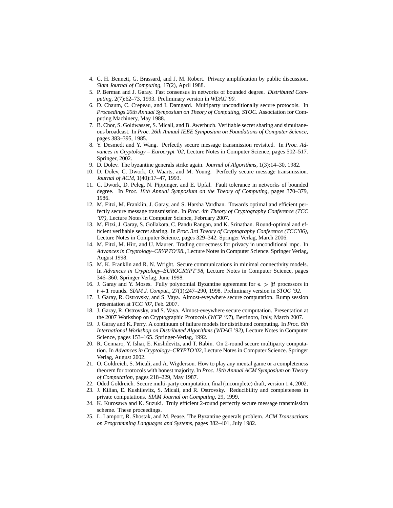- 4. C. H. Bennett, G. Brassard, and J. M. Robert. Privacy amplification by public discussion. *Siam Journal of Computing*, 17(2), April 1988.
- 5. P. Berman and J. Garay. Fast consensus in networks of bounded degree. *Distributed Computing*, 2(7):62–73, 1993. Preliminary version in *WDAG'90*.
- 6. D. Chaum, C. Crepeau, and I. Damgard. Multiparty unconditionally secure protocols. In *Proceedings 20th Annual Symposium on Theory of Computing, STOC*. Association for Computing Machinery, May 1988.
- 7. B. Chor, S. Goldwasser, S. Micali, and B. Awerbuch. Verifiable secret sharing and simultaneous broadcast. In *Proc. 26th Annual IEEE Symposium on Foundations of Computer Science*, pages 383–395, 1985.
- 8. Y. Desmedt and Y. Wang. Perfectly secure message transmission revisited. In *Proc. Advances in Cryptology – Eurocrypt '02*, Lecture Notes in Computer Science, pages 502–517. Springer, 2002.
- 9. D. Dolev. The byzantine generals strike again. *Journal of Algorithms*, 1(3):14–30, 1982.
- 10. D. Dolev, C. Dwork, O. Waarts, and M. Young. Perfectly secure message transmission. *Journal of ACM*, 1(40):17–47, 1993.
- 11. C. Dwork, D. Peleg, N. Pippinger, and E. Upfal. Fault tolerance in networks of bounded degree. In *Proc. 18th Annual Symposium on the Theory of Computing*, pages 370–379, 1986.
- 12. M. Fitzi, M. Franklin, J. Garay, and S. Harsha Vardhan. Towards optimal and efficient perfectly secure message transmission. In *Proc. 4th Theory of Cryptography Conference (TCC '07)*, Lecture Notes in Computer Science, February 2007.
- 13. M. Fitzi, J. Garay, S. Gollakota, C. Pandu Rangan, and K. Srinathan. Round-optimal and efficient verifiable secret sharing. In *Proc. 3rd Theory of Cryptography Conference (TCC'06)*, Lecture Notes in Computer Science, pages 329–342. Springer Verlag, March 2006.
- 14. M. Fitzi, M. Hirt, and U. Maurer. Trading correctness for privacy in unconditional mpc. In *Advances in Cryptology–CRYPTO'98.*, Lecture Notes in Computer Science. Springer Verlag, August 1998.
- 15. M. K. Franklin and R. N. Wright. Secure communications in minimal connectivity models. In *Advances in Cryptology–EUROCRYPT'98*, Lecture Notes in Computer Science, pages 346–360. Springer Verlag, June 1998.
- 16. J. Garay and Y. Moses. Fully polynomial Byzantine agreement for  $n > 3t$  processors in - rounds. *SIAM J. Comput.*, 27(1):247–290, 1998. Preliminary version in *STOC '92.*
- 17. J. Garay, R. Ostrovsky, and S. Vaya. Almost-eveywhere secure computation. Rump session presentation at *TCC '07*, Feb. 2007.
- 18. J. Garay, R. Ostrovsky, and S. Vaya. Almost-eveywhere secure computation. Presentation at the 2007 Workshop on Cryptographic Protocols (*WCP '07*), Bertinoro, Italy, March 2007.
- 19. J. Garay and K. Perry. A continuum of failure models for distributed computing. In *Proc. 6th International Workshop on Distributed Algorithms (WDAG '92)*, Lecture Notes in Computer Science, pages 153–165. Springer-Verlag, 1992.
- 20. R. Gennaro, Y. Ishai, E. Kushilevitz, and T. Rabin. On 2-round secure multiparty computation. In *Advances in Cryptology–CRYPTO'02*, Lecture Notes in Computer Science. Springer Verlag, August 2002.
- 21. O. Goldreich, S. Micali, and A. Wigderson. How to play any mental game or a completeness theorem for orotocols with honest majority. In *Proc. 19th Annual ACM Symposium on Theory of Computation*, pages 218–229, May 1987.
- 22. Oded Goldreich. Secure multi-party computation, final (incomplete) draft, version 1.4, 2002.
- 23. J. Kilian, E. Kushilevitz, S. Micali, and R. Ostrovsky. Reducibility and completeness in private computations. *SIAM Journal on Computing*, 29, 1999.
- 24. K. Kurosawa and K. Suzuki. Truly efficient 2-round perfectly secure message transmission scheme. These proceedings.
- 25. L. Lamport, R. Shostak, and M. Pease. The Byzantine generals problem. *ACM Transactions on Programming Languages and Systems*, pages 382–401, July 1982.